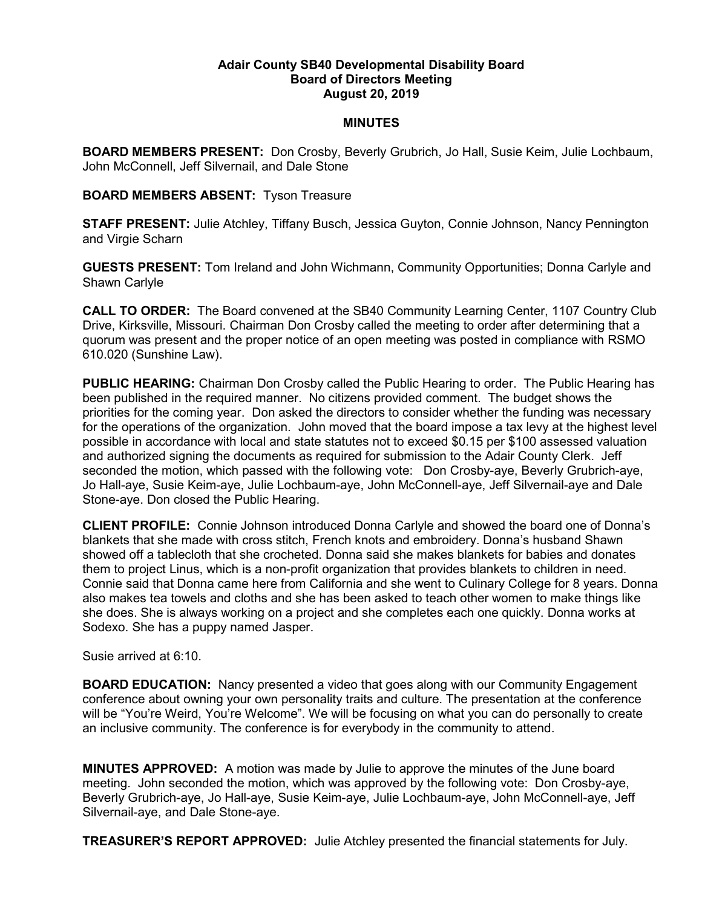## Adair County SB40 Developmental Disability Board Board of Directors Meeting August 20, 2019

## **MINUTES**

BOARD MEMBERS PRESENT: Don Crosby, Beverly Grubrich, Jo Hall, Susie Keim, Julie Lochbaum, John McConnell, Jeff Silvernail, and Dale Stone

## BOARD MEMBERS ABSENT: Tyson Treasure

STAFF PRESENT: Julie Atchley, Tiffany Busch, Jessica Guyton, Connie Johnson, Nancy Pennington and Virgie Scharn

GUESTS PRESENT: Tom Ireland and John Wichmann, Community Opportunities; Donna Carlyle and Shawn Carlyle

CALL TO ORDER: The Board convened at the SB40 Community Learning Center, 1107 Country Club Drive, Kirksville, Missouri. Chairman Don Crosby called the meeting to order after determining that a quorum was present and the proper notice of an open meeting was posted in compliance with RSMO 610.020 (Sunshine Law).

PUBLIC HEARING: Chairman Don Crosby called the Public Hearing to order. The Public Hearing has been published in the required manner. No citizens provided comment. The budget shows the priorities for the coming year. Don asked the directors to consider whether the funding was necessary for the operations of the organization. John moved that the board impose a tax levy at the highest level possible in accordance with local and state statutes not to exceed \$0.15 per \$100 assessed valuation and authorized signing the documents as required for submission to the Adair County Clerk. Jeff seconded the motion, which passed with the following vote: Don Crosby-aye, Beverly Grubrich-aye, Jo Hall-aye, Susie Keim-aye, Julie Lochbaum-aye, John McConnell-aye, Jeff Silvernail-aye and Dale Stone-aye. Don closed the Public Hearing.

CLIENT PROFILE: Connie Johnson introduced Donna Carlyle and showed the board one of Donna's blankets that she made with cross stitch, French knots and embroidery. Donna's husband Shawn showed off a tablecloth that she crocheted. Donna said she makes blankets for babies and donates them to project Linus, which is a non-profit organization that provides blankets to children in need. Connie said that Donna came here from California and she went to Culinary College for 8 years. Donna also makes tea towels and cloths and she has been asked to teach other women to make things like she does. She is always working on a project and she completes each one quickly. Donna works at Sodexo. She has a puppy named Jasper.

Susie arrived at 6:10.

BOARD EDUCATION: Nancy presented a video that goes along with our Community Engagement conference about owning your own personality traits and culture. The presentation at the conference will be "You're Weird, You're Welcome". We will be focusing on what you can do personally to create an inclusive community. The conference is for everybody in the community to attend.

MINUTES APPROVED: A motion was made by Julie to approve the minutes of the June board meeting. John seconded the motion, which was approved by the following vote: Don Crosby-aye, Beverly Grubrich-aye, Jo Hall-aye, Susie Keim-aye, Julie Lochbaum-aye, John McConnell-aye, Jeff Silvernail-aye, and Dale Stone-aye.

TREASURER'S REPORT APPROVED: Julie Atchley presented the financial statements for July.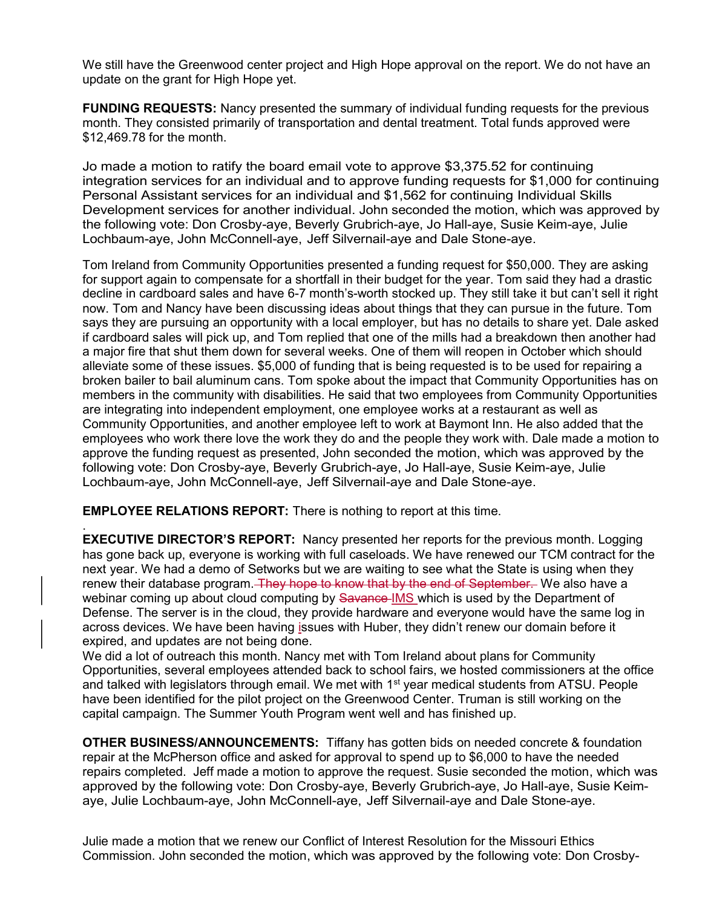We still have the Greenwood center project and High Hope approval on the report. We do not have an update on the grant for High Hope yet.

FUNDING REQUESTS: Nancy presented the summary of individual funding requests for the previous month. They consisted primarily of transportation and dental treatment. Total funds approved were \$12,469.78 for the month.

Jo made a motion to ratify the board email vote to approve \$3,375.52 for continuing integration services for an individual and to approve funding requests for \$1,000 for continuing Personal Assistant services for an individual and \$1,562 for continuing Individual Skills Development services for another individual. John seconded the motion, which was approved by the following vote: Don Crosby-aye, Beverly Grubrich-aye, Jo Hall-aye, Susie Keim-aye, Julie Lochbaum-aye, John McConnell-aye, Jeff Silvernail-aye and Dale Stone-aye.

Tom Ireland from Community Opportunities presented a funding request for \$50,000. They are asking for support again to compensate for a shortfall in their budget for the year. Tom said they had a drastic decline in cardboard sales and have 6-7 month's-worth stocked up. They still take it but can't sell it right now. Tom and Nancy have been discussing ideas about things that they can pursue in the future. Tom says they are pursuing an opportunity with a local employer, but has no details to share yet. Dale asked if cardboard sales will pick up, and Tom replied that one of the mills had a breakdown then another had a major fire that shut them down for several weeks. One of them will reopen in October which should alleviate some of these issues. \$5,000 of funding that is being requested is to be used for repairing a broken bailer to bail aluminum cans. Tom spoke about the impact that Community Opportunities has on members in the community with disabilities. He said that two employees from Community Opportunities are integrating into independent employment, one employee works at a restaurant as well as Community Opportunities, and another employee left to work at Baymont Inn. He also added that the employees who work there love the work they do and the people they work with. Dale made a motion to approve the funding request as presented, John seconded the motion, which was approved by the following vote: Don Crosby-aye, Beverly Grubrich-aye, Jo Hall-aye, Susie Keim-aye, Julie Lochbaum-aye, John McConnell-aye, Jeff Silvernail-aye and Dale Stone-aye.

EMPLOYEE RELATIONS REPORT: There is nothing to report at this time.

.

**EXECUTIVE DIRECTOR'S REPORT:** Nancy presented her reports for the previous month. Logging has gone back up, everyone is working with full caseloads. We have renewed our TCM contract for the next year. We had a demo of Setworks but we are waiting to see what the State is using when they renew their database program. They hope to know that by the end of September. We also have a webinar coming up about cloud computing by Savance-IMS which is used by the Department of Defense. The server is in the cloud, they provide hardware and everyone would have the same log in across devices. We have been having issues with Huber, they didn't renew our domain before it expired, and updates are not being done.

We did a lot of outreach this month. Nancy met with Tom Ireland about plans for Community Opportunities, several employees attended back to school fairs, we hosted commissioners at the office and talked with legislators through email. We met with 1<sup>st</sup> year medical students from ATSU. People have been identified for the pilot project on the Greenwood Center. Truman is still working on the capital campaign. The Summer Youth Program went well and has finished up.

OTHER BUSINESS/ANNOUNCEMENTS: Tiffany has gotten bids on needed concrete & foundation repair at the McPherson office and asked for approval to spend up to \$6,000 to have the needed repairs completed. Jeff made a motion to approve the request. Susie seconded the motion, which was approved by the following vote: Don Crosby-aye, Beverly Grubrich-aye, Jo Hall-aye, Susie Keimaye, Julie Lochbaum-aye, John McConnell-aye, Jeff Silvernail-aye and Dale Stone-aye.

Julie made a motion that we renew our Conflict of Interest Resolution for the Missouri Ethics Commission. John seconded the motion, which was approved by the following vote: Don Crosby